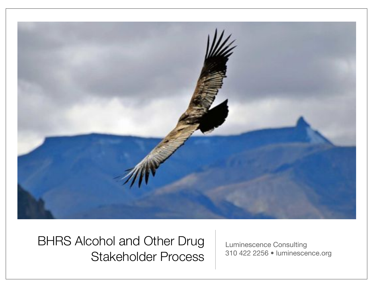

BHRS Alcohol and Other Drug Stakeholder Process

Luminescence Consulting 310 422 2256 • luminescence.org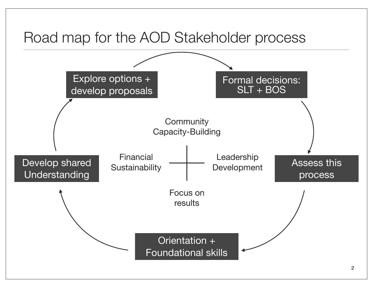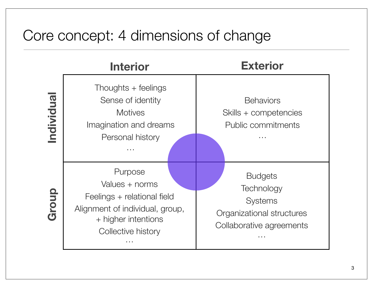## Core concept: 4 dimensions of change

|          | <b>Interior</b>                                                                                                                                                                | <b>Exterior</b>                                                                                              |
|----------|--------------------------------------------------------------------------------------------------------------------------------------------------------------------------------|--------------------------------------------------------------------------------------------------------------|
| ndividua | Thoughts $+$ feelings<br>Sense of identity<br><b>Motives</b><br>Imagination and dreams<br>Personal history<br>$\mathbf{r}=\mathbf{r}+\mathbf{r}$                               | <b>Behaviors</b><br>Skills + competencies<br><b>Public commitments</b><br>$\sim$ $\sim$ $\sim$               |
| Group    | Purpose<br>Values + norms<br>Feelings + relational field<br>Alignment of individual, group,<br>+ higher intentions<br>Collective history<br>$\mathbf{r}=\mathbf{r}+\mathbf{r}$ | <b>Budgets</b><br>Technology<br><b>Systems</b><br>Organizational structures<br>Collaborative agreements<br>. |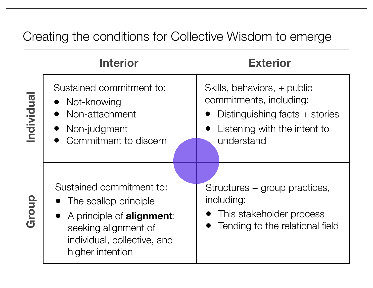#### Creating the conditions for Collective Wisdom to emerge

|            | <b>Interior</b>                                                                                                                                                       | <b>Exterior</b>                                                                                                                          |
|------------|-----------------------------------------------------------------------------------------------------------------------------------------------------------------------|------------------------------------------------------------------------------------------------------------------------------------------|
| Individual | Sustained commitment to:<br>• Not-knowing<br>Non-attachment<br>Non-judgment<br>Commitment to discern                                                                  | Skills, behaviors, + public<br>commitments, including:<br>Distinguishing facts $+$ stories<br>Listening with the intent to<br>understand |
| Group      | Sustained commitment to:<br>• The scallop principle<br>• A principle of <b>alignment</b> :<br>seeking alignment of<br>individual, collective, and<br>higher intention | Structures + group practices,<br>including:<br>This stakeholder process<br>Tending to the relational field                               |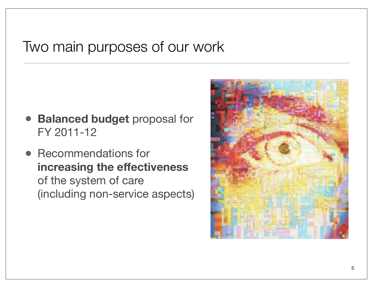#### Two main purposes of our work

- **Balanced budget** proposal for FY 2011-12
- Recommendations for **increasing the effectiveness** of the system of care (including non-service aspects)

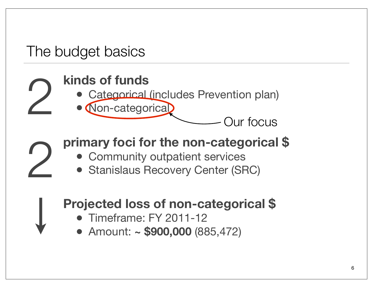## The budget basics

2

# **kinds of funds** 2

- Categorical (includes Prevention plan)
- Non-categorical

Our focus

### **primary foci for the non-categorical \$**

- Community outpatient services
- Stanislaus Recovery Center (SRC)

#### **Projected loss of non-categorical \$**

- Timeframe: FY 2011-12
- Amount: **~ \$900,000** (885,472)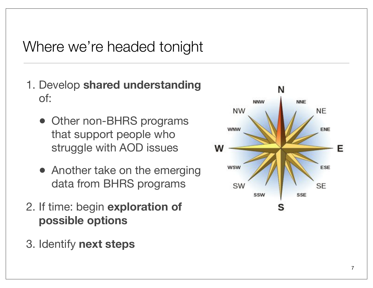## Where we're headed tonight

- 1. Develop **shared understanding** of:
	- Other non-BHRS programs that support people who struggle with AOD issues
	- Another take on the emerging data from BHRS programs
- 2. If time: begin **exploration of possible options**
- 3. Identify **next steps**

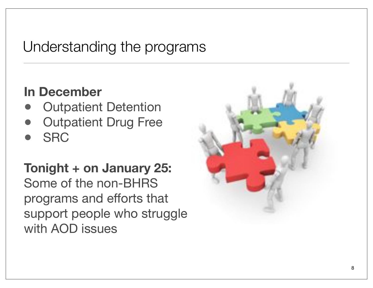## Understanding the programs

#### **In December**

- **Outpatient Detention**
- **Outpatient Drug Free**
- SRC

**Tonight + on January 25:**  Some of the non-BHRS programs and efforts that support people who struggle with AOD issues

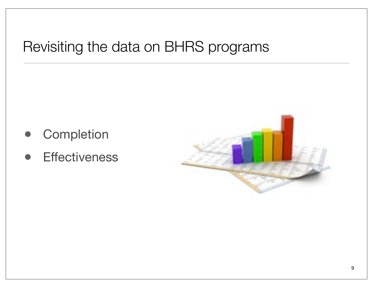# Revisiting the data on BHRS programs

- **Completion**
- **Effectiveness**

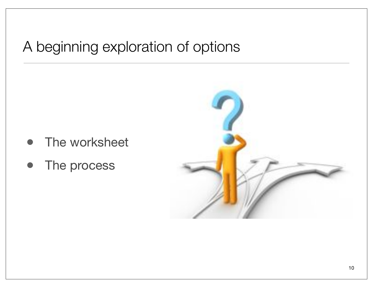## A beginning exploration of options

- The worksheet
- The process

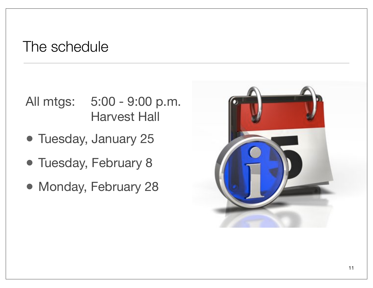#### The schedule

#### All mtgs: 5:00 - 9:00 p.m. **Harvest Hall**

- Tuesday, January 25
- Tuesday, February 8
- Monday, February 28